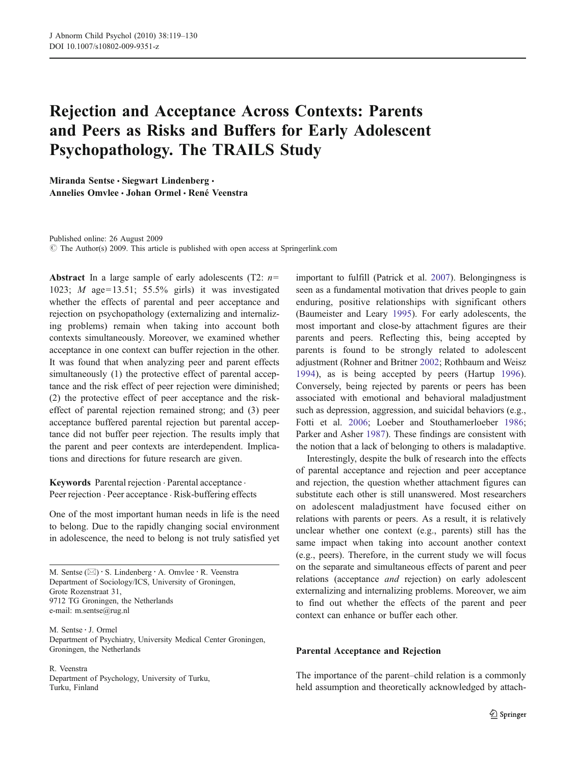# Rejection and Acceptance Across Contexts: Parents and Peers as Risks and Buffers for Early Adolescent Psychopathology. The TRAILS Study

Miranda Sentse · Siegwart Lindenberg · Annelies Omvlee · Johan Ormel · René Veenstra

Published online: 26 August 2009  $\circ$  The Author(s) 2009. This article is published with open access at Springerlink.com

Abstract In a large sample of early adolescents (T2:  $n=$ 1023; M age=13.51; 55.5% girls) it was investigated whether the effects of parental and peer acceptance and rejection on psychopathology (externalizing and internalizing problems) remain when taking into account both contexts simultaneously. Moreover, we examined whether acceptance in one context can buffer rejection in the other. It was found that when analyzing peer and parent effects simultaneously (1) the protective effect of parental acceptance and the risk effect of peer rejection were diminished; (2) the protective effect of peer acceptance and the riskeffect of parental rejection remained strong; and (3) peer acceptance buffered parental rejection but parental acceptance did not buffer peer rejection. The results imply that the parent and peer contexts are interdependent. Implications and directions for future research are given.

Keywords Parental rejection . Parental acceptance . Peer rejection . Peer acceptance . Risk-buffering effects

One of the most important human needs in life is the need to belong. Due to the rapidly changing social environment in adolescence, the need to belong is not truly satisfied yet

M. Sentse ( $\boxtimes$ ) · S. Lindenberg · A. Omvlee · R. Veenstra Department of Sociology/ICS, University of Groningen, Grote Rozenstraat 31, 9712 TG Groningen, the Netherlands e-mail: m.sentse@rug.nl

M. Sentse : J. Ormel Department of Psychiatry, University Medical Center Groningen, Groningen, the Netherlands

R. Veenstra Department of Psychology, University of Turku, Turku, Finland

important to fulfill (Patrick et al. [2007\)](#page-10-0). Belongingness is seen as a fundamental motivation that drives people to gain enduring, positive relationships with significant others (Baumeister and Leary [1995\)](#page-9-0). For early adolescents, the most important and close-by attachment figures are their parents and peers. Reflecting this, being accepted by parents is found to be strongly related to adolescent adjustment (Rohner and Britner [2002](#page-11-0); Rothbaum and Weisz [1994](#page-11-0)), as is being accepted by peers (Hartup [1996](#page-10-0)). Conversely, being rejected by parents or peers has been associated with emotional and behavioral maladjustment such as depression, aggression, and suicidal behaviors (e.g., Fotti et al. [2006;](#page-10-0) Loeber and Stouthamerloeber [1986;](#page-10-0) Parker and Asher [1987\)](#page-10-0). These findings are consistent with the notion that a lack of belonging to others is maladaptive.

Interestingly, despite the bulk of research into the effects of parental acceptance and rejection and peer acceptance and rejection, the question whether attachment figures can substitute each other is still unanswered. Most researchers on adolescent maladjustment have focused either on relations with parents or peers. As a result, it is relatively unclear whether one context (e.g., parents) still has the same impact when taking into account another context (e.g., peers). Therefore, in the current study we will focus on the separate and simultaneous effects of parent and peer relations (acceptance and rejection) on early adolescent externalizing and internalizing problems. Moreover, we aim to find out whether the effects of the parent and peer context can enhance or buffer each other.

## Parental Acceptance and Rejection

The importance of the parent–child relation is a commonly held assumption and theoretically acknowledged by attach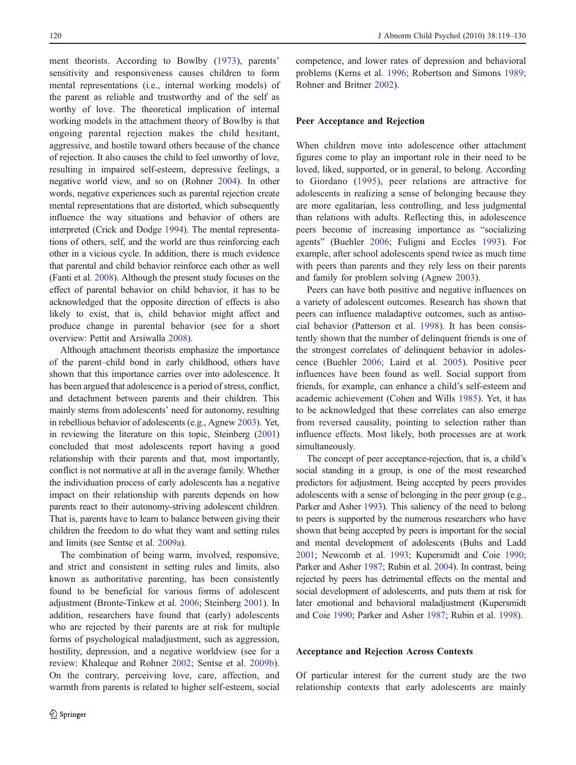ment theorists. According to Bowlby ([1973\)](#page-9-0), parents' sensitivity and responsiveness causes children to form mental representations (i.e., internal working models) of the parent as reliable and trustworthy and of the self as worthy of love. The theoretical implication of internal working models in the attachment theory of Bowlby is that ongoing parental rejection makes the child hesitant, aggressive, and hostile toward others because of the chance of rejection. It also causes the child to feel unworthy of love, resulting in impaired self-esteem, depressive feelings, a negative world view, and so on (Rohner [2004\)](#page-11-0). In other words, negative experiences such as parental rejection create mental representations that are distorted, which subsequently influence the way situations and behavior of others are interpreted (Crick and Dodge [1994\)](#page-10-0). The mental representations of others, self, and the world are thus reinforcing each other in a vicious cycle. In addition, there is much evidence that parental and child behavior reinforce each other as well (Fanti et al. [2008](#page-10-0)). Although the present study focuses on the effect of parental behavior on child behavior, it has to be acknowledged that the opposite direction of effects is also likely to exist, that is, child behavior might affect and produce change in parental behavior (see for a short overview: Pettit and Arsiwalla [2008\)](#page-10-0).

Although attachment theorists emphasize the importance of the parent–child bond in early childhood, others have shown that this importance carries over into adolescence. It has been argued that adolescence is a period of stress, conflict, and detachment between parents and their children. This mainly stems from adolescents' need for autonomy, resulting in rebellious behavior of adolescents (e.g., Agnew [2003](#page-9-0)). Yet, in reviewing the literature on this topic, Steinberg [\(2001\)](#page-11-0) concluded that most adolescents report having a good relationship with their parents and that, most importantly, conflict is not normative at all in the average family. Whether the individuation process of early adolescents has a negative impact on their relationship with parents depends on how parents react to their autonomy-striving adolescent children. That is, parents have to learn to balance between giving their children the freedom to do what they want and setting rules and limits (see Sentse et al. [2009a](#page-11-0)).

The combination of being warm, involved, responsive, and strict and consistent in setting rules and limits, also known as authoritative parenting, has been consistently found to be beneficial for various forms of adolescent adjustment (Bronte-Tinkew et al. [2006](#page-9-0); Steinberg [2001](#page-11-0)). In addition, researchers have found that (early) adolescents who are rejected by their parents are at risk for multiple forms of psychological maladjustment, such as aggression, hostility, depression, and a negative worldview (see for a review: Khaleque and Rohner [2002;](#page-10-0) Sentse et al. [2009b](#page-11-0)). On the contrary, perceiving love, care, affection, and warmth from parents is related to higher self-esteem, social

competence, and lower rates of depression and behavioral problems (Kerns et al. [1996](#page-10-0); Robertson and Simons [1989;](#page-11-0) Rohner and Britner [2002](#page-11-0)).

#### Peer Acceptance and Rejection

When children move into adolescence other attachment figures come to play an important role in their need to be loved, liked, supported, or in general, to belong. According to Giordano [\(1995](#page-10-0)), peer relations are attractive for adolescents in realizing a sense of belonging because they are more egalitarian, less controlling, and less judgmental than relations with adults. Reflecting this, in adolescence peers become of increasing importance as "socializing agents" (Buehler [2006;](#page-9-0) Fuligni and Eccles [1993\)](#page-10-0). For example, after school adolescents spend twice as much time with peers than parents and they rely less on their parents and family for problem solving (Agnew [2003](#page-9-0)).

Peers can have both positive and negative influences on a variety of adolescent outcomes. Research has shown that peers can influence maladaptive outcomes, such as antisocial behavior (Patterson et al. [1998](#page-10-0)). It has been consistently shown that the number of delinquent friends is one of the strongest correlates of delinquent behavior in adolescence (Buehler [2006;](#page-9-0) Laird et al. [2005](#page-10-0)). Positive peer influences have been found as well. Social support from friends, for example, can enhance a child's self-esteem and academic achievement (Cohen and Wills [1985](#page-10-0)). Yet, it has to be acknowledged that these correlates can also emerge from reversed causality, pointing to selection rather than influence effects. Most likely, both processes are at work simultaneously.

The concept of peer acceptance-rejection, that is, a child's social standing in a group, is one of the most researched predictors for adjustment. Being accepted by peers provides adolescents with a sense of belonging in the peer group (e.g., Parker and Asher [1993](#page-10-0)). This saliency of the need to belong to peers is supported by the numerous researchers who have shown that being accepted by peers is important for the social and mental development of adolescents (Buhs and Ladd [2001;](#page-9-0) Newcomb et al. [1993;](#page-10-0) Kupersmidt and Coie [1990;](#page-10-0) Parker and Asher [1987;](#page-10-0) Rubin et al. [2004\)](#page-11-0). In contrast, being rejected by peers has detrimental effects on the mental and social development of adolescents, and puts them at risk for later emotional and behavioral maladjustment (Kupersmidt and Coie [1990](#page-10-0); Parker and Asher [1987;](#page-10-0) Rubin et al. [1998](#page-11-0)).

# Acceptance and Rejection Across Contexts

Of particular interest for the current study are the two relationship contexts that early adolescents are mainly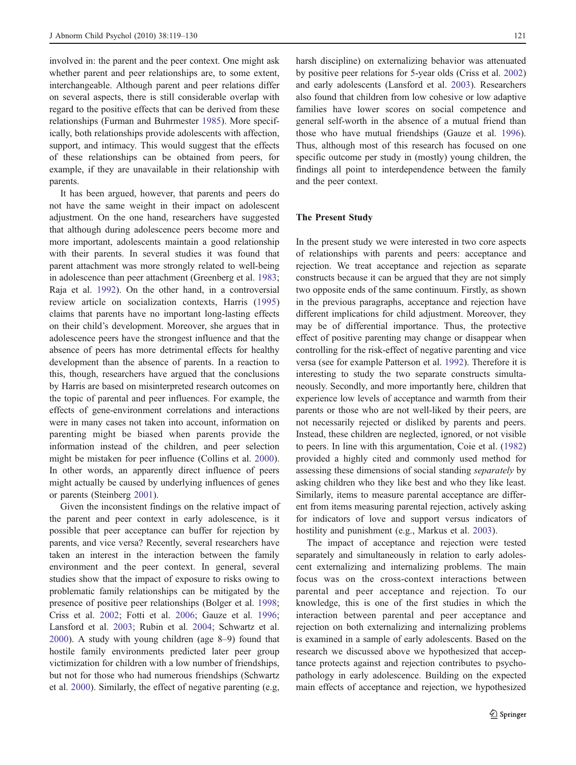involved in: the parent and the peer context. One might ask whether parent and peer relationships are, to some extent, interchangeable. Although parent and peer relations differ on several aspects, there is still considerable overlap with regard to the positive effects that can be derived from these relationships (Furman and Buhrmester [1985\)](#page-10-0). More specifically, both relationships provide adolescents with affection, support, and intimacy. This would suggest that the effects of these relationships can be obtained from peers, for example, if they are unavailable in their relationship with parents.

It has been argued, however, that parents and peers do not have the same weight in their impact on adolescent adjustment. On the one hand, researchers have suggested that although during adolescence peers become more and more important, adolescents maintain a good relationship with their parents. In several studies it was found that parent attachment was more strongly related to well-being in adolescence than peer attachment (Greenberg et al. [1983](#page-10-0); Raja et al. [1992](#page-11-0)). On the other hand, in a controversial review article on socialization contexts, Harris ([1995\)](#page-10-0) claims that parents have no important long-lasting effects on their child's development. Moreover, she argues that in adolescence peers have the strongest influence and that the absence of peers has more detrimental effects for healthy development than the absence of parents. In a reaction to this, though, researchers have argued that the conclusions by Harris are based on misinterpreted research outcomes on the topic of parental and peer influences. For example, the effects of gene-environment correlations and interactions were in many cases not taken into account, information on parenting might be biased when parents provide the information instead of the children, and peer selection might be mistaken for peer influence (Collins et al. [2000](#page-10-0)). In other words, an apparently direct influence of peers might actually be caused by underlying influences of genes or parents (Steinberg [2001\)](#page-11-0).

Given the inconsistent findings on the relative impact of the parent and peer context in early adolescence, is it possible that peer acceptance can buffer for rejection by parents, and vice versa? Recently, several researchers have taken an interest in the interaction between the family environment and the peer context. In general, several studies show that the impact of exposure to risks owing to problematic family relationships can be mitigated by the presence of positive peer relationships (Bolger et al. [1998](#page-9-0); Criss et al. [2002](#page-10-0); Fotti et al. [2006](#page-10-0); Gauze et al. [1996](#page-10-0); Lansford et al. [2003](#page-10-0); Rubin et al. [2004](#page-11-0); Schwartz et al. [2000\)](#page-11-0). A study with young children (age 8–9) found that hostile family environments predicted later peer group victimization for children with a low number of friendships, but not for those who had numerous friendships (Schwartz et al. [2000\)](#page-11-0). Similarly, the effect of negative parenting (e.g,

harsh discipline) on externalizing behavior was attenuated by positive peer relations for 5-year olds (Criss et al. [2002](#page-10-0)) and early adolescents (Lansford et al. [2003\)](#page-10-0). Researchers also found that children from low cohesive or low adaptive families have lower scores on social competence and general self-worth in the absence of a mutual friend than those who have mutual friendships (Gauze et al. [1996\)](#page-10-0). Thus, although most of this research has focused on one specific outcome per study in (mostly) young children, the findings all point to interdependence between the family and the peer context.

# The Present Study

In the present study we were interested in two core aspects of relationships with parents and peers: acceptance and rejection. We treat acceptance and rejection as separate constructs because it can be argued that they are not simply two opposite ends of the same continuum. Firstly, as shown in the previous paragraphs, acceptance and rejection have different implications for child adjustment. Moreover, they may be of differential importance. Thus, the protective effect of positive parenting may change or disappear when controlling for the risk-effect of negative parenting and vice versa (see for example Patterson et al. [1992\)](#page-10-0). Therefore it is interesting to study the two separate constructs simultaneously. Secondly, and more importantly here, children that experience low levels of acceptance and warmth from their parents or those who are not well-liked by their peers, are not necessarily rejected or disliked by parents and peers. Instead, these children are neglected, ignored, or not visible to peers. In line with this argumentation, Coie et al. [\(1982](#page-10-0)) provided a highly cited and commonly used method for assessing these dimensions of social standing separately by asking children who they like best and who they like least. Similarly, items to measure parental acceptance are different from items measuring parental rejection, actively asking for indicators of love and support versus indicators of hostility and punishment (e.g., Markus et al. [2003](#page-10-0)).

The impact of acceptance and rejection were tested separately and simultaneously in relation to early adolescent externalizing and internalizing problems. The main focus was on the cross-context interactions between parental and peer acceptance and rejection. To our knowledge, this is one of the first studies in which the interaction between parental and peer acceptance and rejection on both externalizing and internalizing problems is examined in a sample of early adolescents. Based on the research we discussed above we hypothesized that acceptance protects against and rejection contributes to psychopathology in early adolescence. Building on the expected main effects of acceptance and rejection, we hypothesized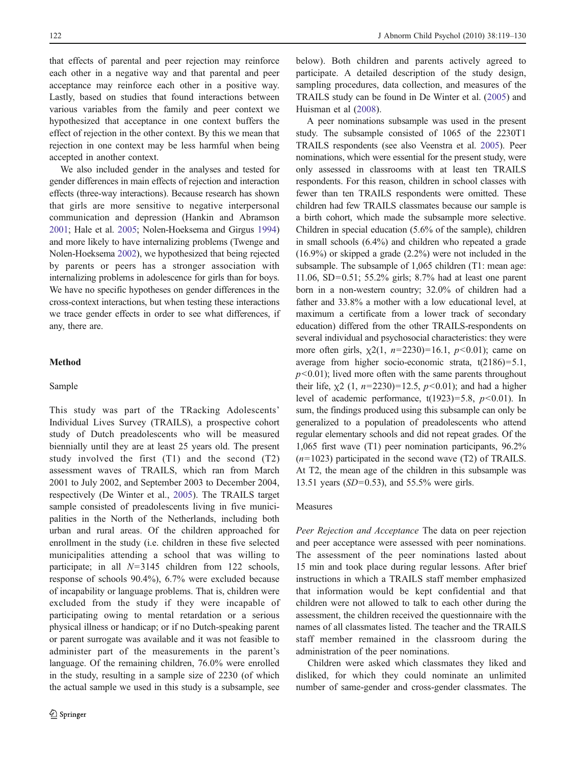that effects of parental and peer rejection may reinforce each other in a negative way and that parental and peer acceptance may reinforce each other in a positive way. Lastly, based on studies that found interactions between various variables from the family and peer context we hypothesized that acceptance in one context buffers the effect of rejection in the other context. By this we mean that rejection in one context may be less harmful when being accepted in another context.

We also included gender in the analyses and tested for gender differences in main effects of rejection and interaction effects (three-way interactions). Because research has shown that girls are more sensitive to negative interpersonal communication and depression (Hankin and Abramson [2001;](#page-10-0) Hale et al. [2005](#page-10-0); Nolen-Hoeksema and Girgus [1994\)](#page-10-0) and more likely to have internalizing problems (Twenge and Nolen-Hoeksema [2002](#page-11-0)), we hypothesized that being rejected by parents or peers has a stronger association with internalizing problems in adolescence for girls than for boys. We have no specific hypotheses on gender differences in the cross-context interactions, but when testing these interactions we trace gender effects in order to see what differences, if any, there are.

# Method

#### Sample

This study was part of the TRacking Adolescents' Individual Lives Survey (TRAILS), a prospective cohort study of Dutch preadolescents who will be measured biennially until they are at least 25 years old. The present study involved the first (T1) and the second (T2) assessment waves of TRAILS, which ran from March 2001 to July 2002, and September 2003 to December 2004, respectively (De Winter et al., [2005](#page-10-0)). The TRAILS target sample consisted of preadolescents living in five municipalities in the North of the Netherlands, including both urban and rural areas. Of the children approached for enrollment in the study (i.e. children in these five selected municipalities attending a school that was willing to participate; in all  $N=3145$  children from 122 schools, response of schools 90.4%), 6.7% were excluded because of incapability or language problems. That is, children were excluded from the study if they were incapable of participating owing to mental retardation or a serious physical illness or handicap; or if no Dutch-speaking parent or parent surrogate was available and it was not feasible to administer part of the measurements in the parent's language. Of the remaining children, 76.0% were enrolled in the study, resulting in a sample size of 2230 (of which the actual sample we used in this study is a subsample, see

below). Both children and parents actively agreed to participate. A detailed description of the study design, sampling procedures, data collection, and measures of the TRAILS study can be found in De Winter et al. ([2005\)](#page-10-0) and Huisman et al [\(2008](#page-10-0)).

A peer nominations subsample was used in the present study. The subsample consisted of 1065 of the 2230T1 TRAILS respondents (see also Veenstra et al. [2005\)](#page-11-0). Peer nominations, which were essential for the present study, were only assessed in classrooms with at least ten TRAILS respondents. For this reason, children in school classes with fewer than ten TRAILS respondents were omitted. These children had few TRAILS classmates because our sample is a birth cohort, which made the subsample more selective. Children in special education (5.6% of the sample), children in small schools (6.4%) and children who repeated a grade (16.9%) or skipped a grade (2.2%) were not included in the subsample. The subsample of 1,065 children (T1: mean age: 11.06, SD=0.51; 55.2% girls; 8.7% had at least one parent born in a non-western country; 32.0% of children had a father and 33.8% a mother with a low educational level, at maximum a certificate from a lower track of secondary education) differed from the other TRAILS-respondents on several individual and psychosocial characteristics: they were more often girls,  $\chi$ 2(1, n=2230)=16.1, p<0.01); came on average from higher socio-economic strata, t(2186)=5.1,  $p<0.01$ ); lived more often with the same parents throughout their life,  $\chi^2$  (1,  $n=2230$ )=12.5,  $p<0.01$ ); and had a higher level of academic performance,  $t(1923)=5.8$ ,  $p<0.01$ ). In sum, the findings produced using this subsample can only be generalized to a population of preadolescents who attend regular elementary schools and did not repeat grades. Of the 1,065 first wave (T1) peer nomination participants, 96.2%  $(n=1023)$  participated in the second wave (T2) of TRAILS. At T2, the mean age of the children in this subsample was 13.51 years (SD=0.53), and 55.5% were girls.

#### Measures

Peer Rejection and Acceptance The data on peer rejection and peer acceptance were assessed with peer nominations. The assessment of the peer nominations lasted about 15 min and took place during regular lessons. After brief instructions in which a TRAILS staff member emphasized that information would be kept confidential and that children were not allowed to talk to each other during the assessment, the children received the questionnaire with the names of all classmates listed. The teacher and the TRAILS staff member remained in the classroom during the administration of the peer nominations.

Children were asked which classmates they liked and disliked, for which they could nominate an unlimited number of same-gender and cross-gender classmates. The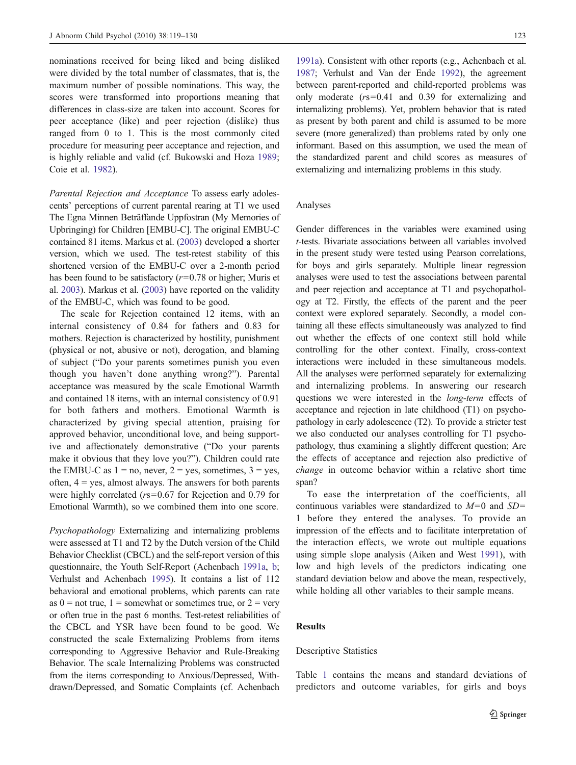nominations received for being liked and being disliked were divided by the total number of classmates, that is, the maximum number of possible nominations. This way, the scores were transformed into proportions meaning that differences in class-size are taken into account. Scores for peer acceptance (like) and peer rejection (dislike) thus ranged from 0 to 1. This is the most commonly cited procedure for measuring peer acceptance and rejection, and is highly reliable and valid (cf. Bukowski and Hoza [1989](#page-10-0); Coie et al. [1982](#page-10-0)).

Parental Rejection and Acceptance To assess early adolescents' perceptions of current parental rearing at T1 we used The Egna Minnen Beträffande Uppfostran (My Memories of Upbringing) for Children [EMBU-C]. The original EMBU-C contained 81 items. Markus et al. [\(2003\)](#page-10-0) developed a shorter version, which we used. The test-retest stability of this shortened version of the EMBU-C over a 2-month period has been found to be satisfactory  $(r=0.78$  or higher; Muris et al. [2003\)](#page-10-0). Markus et al. ([2003](#page-10-0)) have reported on the validity of the EMBU-C, which was found to be good.

The scale for Rejection contained 12 items, with an internal consistency of 0.84 for fathers and 0.83 for mothers. Rejection is characterized by hostility, punishment (physical or not, abusive or not), derogation, and blaming of subject ("Do your parents sometimes punish you even though you haven't done anything wrong?"). Parental acceptance was measured by the scale Emotional Warmth and contained 18 items, with an internal consistency of 0.91 for both fathers and mothers. Emotional Warmth is characterized by giving special attention, praising for approved behavior, unconditional love, and being supportive and affectionately demonstrative ("Do your parents make it obvious that they love you?"). Children could rate the EMBU-C as  $1 = no$ , never,  $2 = yes$ , sometimes,  $3 = yes$ , often,  $4 = yes$ , almost always. The answers for both parents were highly correlated (rs=0.67 for Rejection and 0.79 for Emotional Warmth), so we combined them into one score.

Psychopathology Externalizing and internalizing problems were assessed at T1 and T2 by the Dutch version of the Child Behavior Checklist (CBCL) and the self-report version of this questionnaire, the Youth Self-Report (Achenbach [1991a,](#page-9-0) [b](#page-9-0); Verhulst and Achenbach [1995](#page-11-0)). It contains a list of 112 behavioral and emotional problems, which parents can rate as  $0 =$  not true,  $1 =$  somewhat or sometimes true, or  $2 =$  very or often true in the past 6 months. Test-retest reliabilities of the CBCL and YSR have been found to be good. We constructed the scale Externalizing Problems from items corresponding to Aggressive Behavior and Rule-Breaking Behavior. The scale Internalizing Problems was constructed from the items corresponding to Anxious/Depressed, Withdrawn/Depressed, and Somatic Complaints (cf. Achenbach

[1991a\)](#page-9-0). Consistent with other reports (e.g., Achenbach et al. [1987;](#page-9-0) Verhulst and Van der Ende [1992](#page-11-0)), the agreement between parent-reported and child-reported problems was only moderate (rs=0.41 and 0.39 for externalizing and internalizing problems). Yet, problem behavior that is rated as present by both parent and child is assumed to be more severe (more generalized) than problems rated by only one informant. Based on this assumption, we used the mean of the standardized parent and child scores as measures of externalizing and internalizing problems in this study.

#### Analyses

Gender differences in the variables were examined using t-tests. Bivariate associations between all variables involved in the present study were tested using Pearson correlations, for boys and girls separately. Multiple linear regression analyses were used to test the associations between parental and peer rejection and acceptance at T1 and psychopathology at T2. Firstly, the effects of the parent and the peer context were explored separately. Secondly, a model containing all these effects simultaneously was analyzed to find out whether the effects of one context still hold while controlling for the other context. Finally, cross-context interactions were included in these simultaneous models. All the analyses were performed separately for externalizing and internalizing problems. In answering our research questions we were interested in the long-term effects of acceptance and rejection in late childhood (T1) on psychopathology in early adolescence (T2). To provide a stricter test we also conducted our analyses controlling for T1 psychopathology, thus examining a slightly different question; Are the effects of acceptance and rejection also predictive of change in outcome behavior within a relative short time span?

To ease the interpretation of the coefficients, all continuous variables were standardized to  $M=0$  and  $SD=$ 1 before they entered the analyses. To provide an impression of the effects and to facilitate interpretation of the interaction effects, we wrote out multiple equations using simple slope analysis (Aiken and West [1991\)](#page-9-0), with low and high levels of the predictors indicating one standard deviation below and above the mean, respectively, while holding all other variables to their sample means.

# Results

# Descriptive Statistics

Table [1](#page-5-0) contains the means and standard deviations of predictors and outcome variables, for girls and boys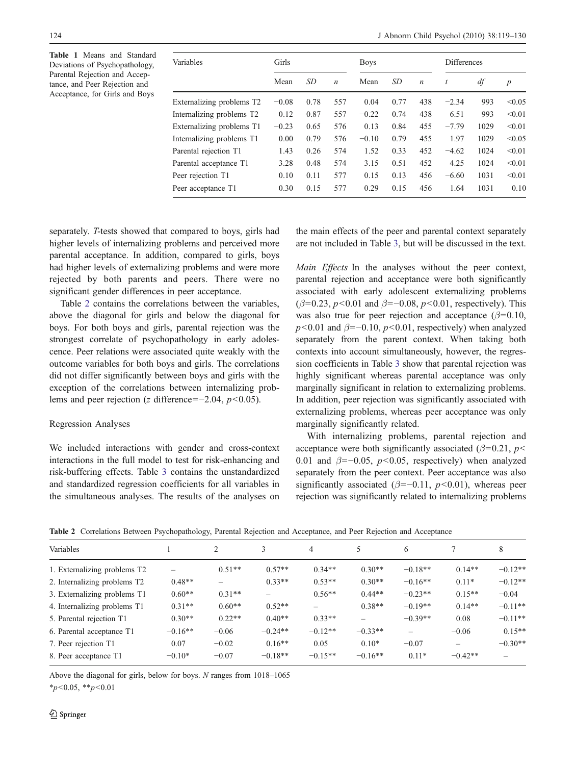<span id="page-5-0"></span>Table 1 Means and Standard Deviations of Psychopathology, Parental Rejection and Acceptance, and Peer Rejection and Acceptance, for Girls and Boys

| Variables                 | Girls   |      |                  | <b>Boys</b> |      |                  | Differences |      |                  |
|---------------------------|---------|------|------------------|-------------|------|------------------|-------------|------|------------------|
|                           | Mean    | SD   | $\boldsymbol{n}$ | Mean        | SD   | $\boldsymbol{n}$ | t           | df   | $\boldsymbol{p}$ |
| Externalizing problems T2 | $-0.08$ | 0.78 | 557              | 0.04        | 0.77 | 438              | $-2.34$     | 993  | < 0.05           |
| Internalizing problems T2 | 0.12    | 0.87 | 557              | $-0.22$     | 0.74 | 438              | 6.51        | 993  | < 0.01           |
| Externalizing problems T1 | $-0.23$ | 0.65 | 576              | 0.13        | 0.84 | 455              | $-7.79$     | 1029 | < 0.01           |
| Internalizing problems T1 | 0.00    | 0.79 | 576              | $-0.10$     | 0.79 | 455              | 1.97        | 1029 | < 0.05           |
| Parental rejection T1     | 1.43    | 0.26 | 574              | 1.52        | 0.33 | 452              | $-4.62$     | 1024 | < 0.01           |
| Parental acceptance T1    | 3.28    | 0.48 | 574              | 3.15        | 0.51 | 452              | 4.25        | 1024 | < 0.01           |
| Peer rejection T1         | 0.10    | 0.11 | 577              | 0.15        | 0.13 | 456              | $-6.60$     | 1031 | < 0.01           |
| Peer acceptance T1        | 0.30    | 0.15 | 577              | 0.29        | 0.15 | 456              | 1.64        | 1031 | 0.10             |

separately. T-tests showed that compared to boys, girls had higher levels of internalizing problems and perceived more parental acceptance. In addition, compared to girls, boys had higher levels of externalizing problems and were more rejected by both parents and peers. There were no significant gender differences in peer acceptance.

Table 2 contains the correlations between the variables, above the diagonal for girls and below the diagonal for boys. For both boys and girls, parental rejection was the strongest correlate of psychopathology in early adolescence. Peer relations were associated quite weakly with the outcome variables for both boys and girls. The correlations did not differ significantly between boys and girls with the exception of the correlations between internalizing problems and peer rejection (z difference=−2.04,  $p$  <0.05).

### Regression Analyses

We included interactions with gender and cross-context interactions in the full model to test for risk-enhancing and risk-buffering effects. Table [3](#page-6-0) contains the unstandardized and standardized regression coefficients for all variables in the simultaneous analyses. The results of the analyses on

the main effects of the peer and parental context separately are not included in Table [3,](#page-6-0) but will be discussed in the text.

Main Effects In the analyses without the peer context, parental rejection and acceptance were both significantly associated with early adolescent externalizing problems  $(\beta=0.23, p<0.01$  and  $\beta=-0.08, p<0.01$ , respectively). This was also true for peer rejection and acceptance ( $\beta$ =0.10,  $p<0.01$  and  $\beta=-0.10$ ,  $p<0.01$ , respectively) when analyzed separately from the parent context. When taking both contexts into account simultaneously, however, the regression coefficients in Table [3](#page-6-0) show that parental rejection was highly significant whereas parental acceptance was only marginally significant in relation to externalizing problems. In addition, peer rejection was significantly associated with externalizing problems, whereas peer acceptance was only marginally significantly related.

With internalizing problems, parental rejection and acceptance were both significantly associated ( $\beta$ =0.21, p< 0.01 and  $\beta$ =−0.05, p<0.05, respectively) when analyzed separately from the peer context. Peer acceptance was also significantly associated ( $\beta$ =−0.11,  $p$ <0.01), whereas peer rejection was significantly related to internalizing problems

|  | Table 2 Correlations Between Psychopathology, Parental Rejection and Acceptance, and Peer Rejection and Acceptance |  |  |  |  |  |  |  |  |  |  |  |  |
|--|--------------------------------------------------------------------------------------------------------------------|--|--|--|--|--|--|--|--|--|--|--|--|
|--|--------------------------------------------------------------------------------------------------------------------|--|--|--|--|--|--|--|--|--|--|--|--|

| Variables                    |           | $\overline{c}$           | 3         | 4         | 5         | 6         |           | 8                        |
|------------------------------|-----------|--------------------------|-----------|-----------|-----------|-----------|-----------|--------------------------|
| 1. Externalizing problems T2 |           | $0.51**$                 | $0.57**$  | $0.34**$  | $0.30**$  | $-0.18**$ | $0.14**$  | $-0.12**$                |
| 2. Internalizing problems T2 | $0.48**$  | $\overline{\phantom{0}}$ | $0.33**$  | $0.53**$  | $0.30**$  | $-0.16**$ | $0.11*$   | $-0.12**$                |
| 3. Externalizing problems T1 | $0.60**$  | $0.31**$                 | $\equiv$  | $0.56**$  | $0.44**$  | $-0.23**$ | $0.15**$  | $-0.04$                  |
| 4. Internalizing problems T1 | $0.31**$  | $0.60**$                 | $0.52**$  |           | $0.38**$  | $-0.19**$ | $0.14**$  | $-0.11**$                |
| 5. Parental rejection T1     | $0.30**$  | $0.22**$                 | $0.40**$  | $0.33**$  |           | $-0.39**$ | 0.08      | $-0.11**$                |
| 6. Parental acceptance T1    | $-0.16**$ | $-0.06$                  | $-0.24**$ | $-0.12**$ | $-0.33**$ | -         | $-0.06$   | $0.15**$                 |
| 7. Peer rejection T1         | 0.07      | $-0.02$                  | $0.16**$  | 0.05      | $0.10*$   | $-0.07$   | $\equiv$  | $-0.30**$                |
| 8. Peer acceptance T1        | $-0.10*$  | $-0.07$                  | $-0.18**$ | $-0.15**$ | $-0.16**$ | $0.11*$   | $-0.42**$ | $\overline{\phantom{m}}$ |

Above the diagonal for girls, below for boys. N ranges from 1018–1065  $*_{p<0.05}$ ,  $*_{p<0.01}$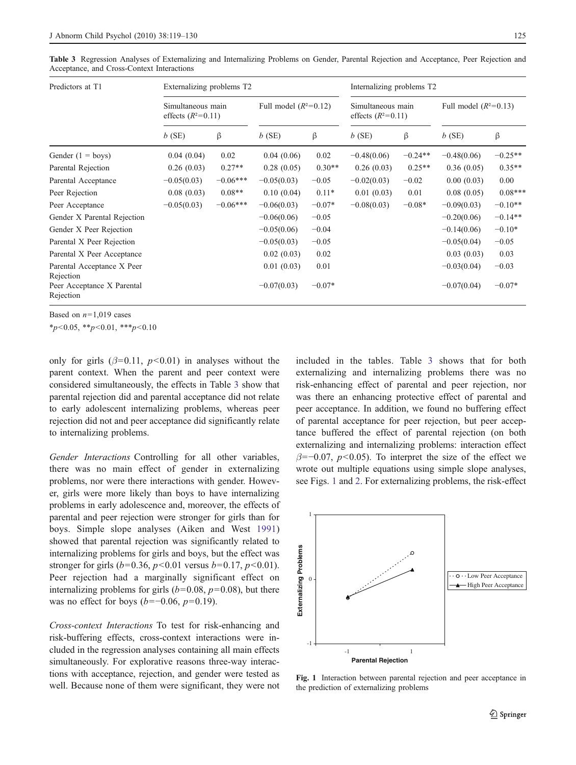| Predictors at T1                        | Externalizing problems T2                 |            |                         | Internalizing problems T2 |                                           |           |                         |           |  |
|-----------------------------------------|-------------------------------------------|------------|-------------------------|---------------------------|-------------------------------------------|-----------|-------------------------|-----------|--|
|                                         | Simultaneous main<br>effects $(R^2=0.11)$ |            | Full model $(R^2=0.12)$ |                           | Simultaneous main<br>effects $(R^2=0.11)$ |           | Full model $(R^2=0.13)$ |           |  |
|                                         | b(SE)                                     | $\beta$    | b(SE)                   | β                         | $b$ (SE)                                  | β         | b(SE)                   | β         |  |
| Gender $(1 = \text{boys})$              | 0.04(0.04)                                | 0.02       | 0.04(0.06)              | 0.02                      | $-0.48(0.06)$                             | $-0.24**$ | $-0.48(0.06)$           | $-0.25**$ |  |
| Parental Rejection                      | 0.26(0.03)                                | $0.27**$   | 0.28(0.05)              | $0.30**$                  | 0.26(0.03)                                | $0.25**$  | 0.36(0.05)              | $0.35**$  |  |
| Parental Acceptance                     | $-0.05(0.03)$                             | $-0.06***$ | $-0.05(0.03)$           | $-0.05$                   | $-0.02(0.03)$                             | $-0.02$   | 0.00(0.03)              | 0.00      |  |
| Peer Rejection                          | 0.08(0.03)                                | $0.08**$   | 0.10(0.04)              | $0.11*$                   | 0.01(0.03)                                | 0.01      | 0.08(0.05)              | $0.08***$ |  |
| Peer Acceptance                         | $-0.05(0.03)$                             | $-0.06***$ | $-0.06(0.03)$           | $-0.07*$                  | $-0.08(0.03)$                             | $-0.08*$  | $-0.09(0.03)$           | $-0.10**$ |  |
| Gender X Parental Rejection             |                                           |            | $-0.06(0.06)$           | $-0.05$                   |                                           |           | $-0.20(0.06)$           | $-0.14**$ |  |
| Gender X Peer Rejection                 |                                           |            | $-0.05(0.06)$           | $-0.04$                   |                                           |           | $-0.14(0.06)$           | $-0.10*$  |  |
| Parental X Peer Rejection               |                                           |            | $-0.05(0.03)$           | $-0.05$                   |                                           |           | $-0.05(0.04)$           | $-0.05$   |  |
| Parental X Peer Acceptance              |                                           |            | 0.02(0.03)              | 0.02                      |                                           |           | 0.03(0.03)              | 0.03      |  |
| Parental Acceptance X Peer<br>Rejection |                                           |            | 0.01(0.03)              | 0.01                      |                                           |           | $-0.03(0.04)$           | $-0.03$   |  |
| Peer Acceptance X Parental<br>Rejection |                                           |            | $-0.07(0.03)$           | $-0.07*$                  |                                           |           | $-0.07(0.04)$           | $-0.07*$  |  |

<span id="page-6-0"></span>Table 3 Regression Analyses of Externalizing and Internalizing Problems on Gender, Parental Rejection and Acceptance, Peer Rejection and Acceptance, and Cross-Context Interactions

Based on  $n=1,019$  cases

 $*_{p<0.05,}$   $*_{p<0.01,}$   $*_{p<0.10}$ 

only for girls  $(\beta=0.11, p<0.01)$  in analyses without the parent context. When the parent and peer context were considered simultaneously, the effects in Table 3 show that parental rejection did and parental acceptance did not relate to early adolescent internalizing problems, whereas peer rejection did not and peer acceptance did significantly relate to internalizing problems.

Gender Interactions Controlling for all other variables, there was no main effect of gender in externalizing problems, nor were there interactions with gender. However, girls were more likely than boys to have internalizing problems in early adolescence and, moreover, the effects of parental and peer rejection were stronger for girls than for boys. Simple slope analyses (Aiken and West [1991\)](#page-9-0) showed that parental rejection was significantly related to internalizing problems for girls and boys, but the effect was stronger for girls ( $b=0.36$ ,  $p<0.01$  versus  $b=0.17$ ,  $p<0.01$ ). Peer rejection had a marginally significant effect on internalizing problems for girls  $(b=0.08, p=0.08)$ , but there was no effect for boys ( $b=-0.06$ ,  $p=0.19$ ).

Cross-context Interactions To test for risk-enhancing and risk-buffering effects, cross-context interactions were included in the regression analyses containing all main effects simultaneously. For explorative reasons three-way interactions with acceptance, rejection, and gender were tested as well. Because none of them were significant, they were not included in the tables. Table 3 shows that for both externalizing and internalizing problems there was no risk-enhancing effect of parental and peer rejection, nor was there an enhancing protective effect of parental and peer acceptance. In addition, we found no buffering effect of parental acceptance for peer rejection, but peer acceptance buffered the effect of parental rejection (on both externalizing and internalizing problems: interaction effect  $\beta$ =−0.07, p<0.05). To interpret the size of the effect we wrote out multiple equations using simple slope analyses, see Figs. 1 and [2.](#page-7-0) For externalizing problems, the risk-effect



Fig. 1 Interaction between parental rejection and peer acceptance in the prediction of externalizing problems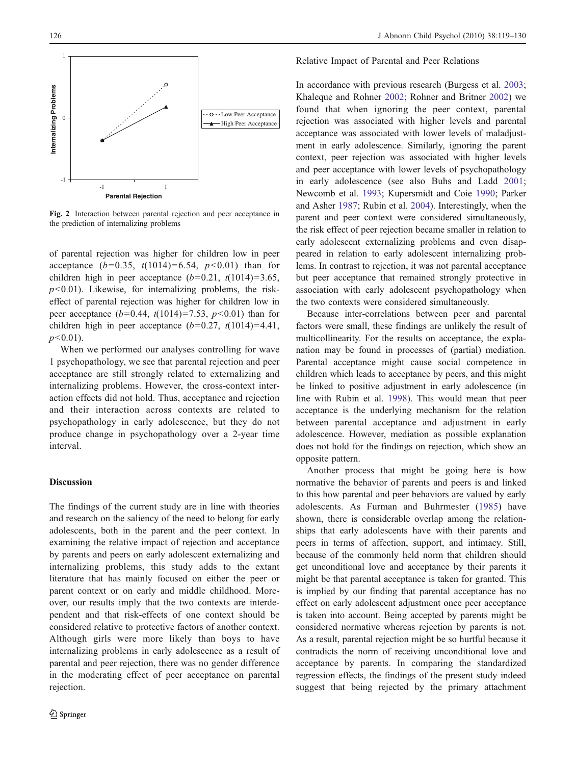<span id="page-7-0"></span>

Fig. 2 Interaction between parental rejection and peer acceptance in the prediction of internalizing problems

of parental rejection was higher for children low in peer acceptance  $(b=0.35, t(1014)=6.54, p<0.01)$  than for children high in peer acceptance  $(b=0.21, t(1014)=3.65,$  $p<0.01$ ). Likewise, for internalizing problems, the riskeffect of parental rejection was higher for children low in peer acceptance  $(b=0.44, t(1014)=7.53, p<0.01)$  than for children high in peer acceptance  $(b=0.27, t(1014)=4.41,$  $p<0.01$ ).

When we performed our analyses controlling for wave 1 psychopathology, we see that parental rejection and peer acceptance are still strongly related to externalizing and internalizing problems. However, the cross-context interaction effects did not hold. Thus, acceptance and rejection and their interaction across contexts are related to psychopathology in early adolescence, but they do not produce change in psychopathology over a 2-year time interval.

# Discussion

The findings of the current study are in line with theories and research on the saliency of the need to belong for early adolescents, both in the parent and the peer context. In examining the relative impact of rejection and acceptance by parents and peers on early adolescent externalizing and internalizing problems, this study adds to the extant literature that has mainly focused on either the peer or parent context or on early and middle childhood. Moreover, our results imply that the two contexts are interdependent and that risk-effects of one context should be considered relative to protective factors of another context. Although girls were more likely than boys to have internalizing problems in early adolescence as a result of parental and peer rejection, there was no gender difference in the moderating effect of peer acceptance on parental rejection.

Relative Impact of Parental and Peer Relations

In accordance with previous research (Burgess et al. [2003;](#page-10-0) Khaleque and Rohner [2002](#page-10-0); Rohner and Britner [2002\)](#page-11-0) we found that when ignoring the peer context, parental rejection was associated with higher levels and parental acceptance was associated with lower levels of maladjustment in early adolescence. Similarly, ignoring the parent context, peer rejection was associated with higher levels and peer acceptance with lower levels of psychopathology in early adolescence (see also Buhs and Ladd [2001;](#page-9-0) Newcomb et al. [1993;](#page-10-0) Kupersmidt and Coie [1990](#page-10-0); Parker and Asher [1987;](#page-10-0) Rubin et al. [2004\)](#page-11-0). Interestingly, when the parent and peer context were considered simultaneously, the risk effect of peer rejection became smaller in relation to early adolescent externalizing problems and even disappeared in relation to early adolescent internalizing problems. In contrast to rejection, it was not parental acceptance but peer acceptance that remained strongly protective in association with early adolescent psychopathology when the two contexts were considered simultaneously.

Because inter-correlations between peer and parental factors were small, these findings are unlikely the result of multicollinearity. For the results on acceptance, the explanation may be found in processes of (partial) mediation. Parental acceptance might cause social competence in children which leads to acceptance by peers, and this might be linked to positive adjustment in early adolescence (in line with Rubin et al. [1998](#page-11-0)). This would mean that peer acceptance is the underlying mechanism for the relation between parental acceptance and adjustment in early adolescence. However, mediation as possible explanation does not hold for the findings on rejection, which show an opposite pattern.

Another process that might be going here is how normative the behavior of parents and peers is and linked to this how parental and peer behaviors are valued by early adolescents. As Furman and Buhrmester [\(1985\)](#page-10-0) have shown, there is considerable overlap among the relationships that early adolescents have with their parents and peers in terms of affection, support, and intimacy. Still, because of the commonly held norm that children should get unconditional love and acceptance by their parents it might be that parental acceptance is taken for granted. This is implied by our finding that parental acceptance has no effect on early adolescent adjustment once peer acceptance is taken into account. Being accepted by parents might be considered normative whereas rejection by parents is not. As a result, parental rejection might be so hurtful because it contradicts the norm of receiving unconditional love and acceptance by parents. In comparing the standardized regression effects, the findings of the present study indeed suggest that being rejected by the primary attachment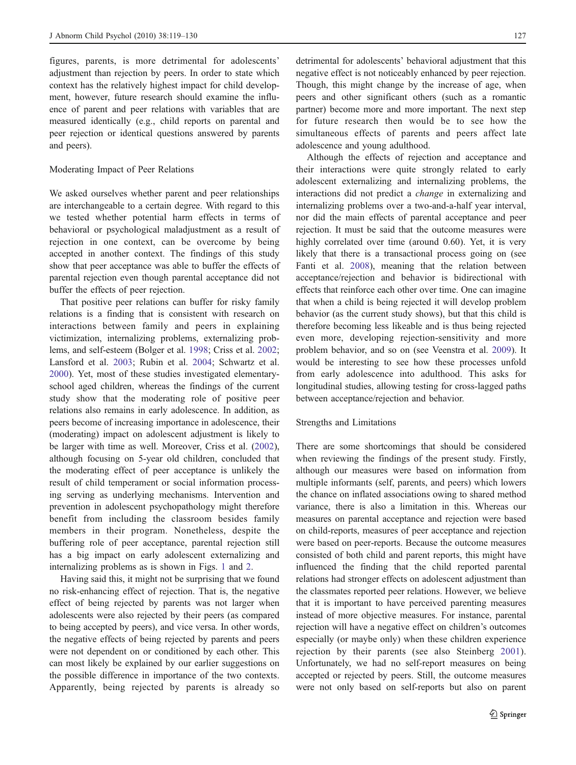figures, parents, is more detrimental for adolescents' adjustment than rejection by peers. In order to state which context has the relatively highest impact for child development, however, future research should examine the influence of parent and peer relations with variables that are measured identically (e.g., child reports on parental and peer rejection or identical questions answered by parents and peers).

# Moderating Impact of Peer Relations

We asked ourselves whether parent and peer relationships are interchangeable to a certain degree. With regard to this we tested whether potential harm effects in terms of behavioral or psychological maladjustment as a result of rejection in one context, can be overcome by being accepted in another context. The findings of this study show that peer acceptance was able to buffer the effects of parental rejection even though parental acceptance did not buffer the effects of peer rejection.

That positive peer relations can buffer for risky family relations is a finding that is consistent with research on interactions between family and peers in explaining victimization, internalizing problems, externalizing problems, and self-esteem (Bolger et al. [1998](#page-9-0); Criss et al. [2002](#page-10-0); Lansford et al. [2003](#page-10-0); Rubin et al. [2004](#page-11-0); Schwartz et al. [2000\)](#page-11-0). Yet, most of these studies investigated elementaryschool aged children, whereas the findings of the current study show that the moderating role of positive peer relations also remains in early adolescence. In addition, as peers become of increasing importance in adolescence, their (moderating) impact on adolescent adjustment is likely to be larger with time as well. Moreover, Criss et al. [\(2002](#page-10-0)), although focusing on 5-year old children, concluded that the moderating effect of peer acceptance is unlikely the result of child temperament or social information processing serving as underlying mechanisms. Intervention and prevention in adolescent psychopathology might therefore benefit from including the classroom besides family members in their program. Nonetheless, despite the buffering role of peer acceptance, parental rejection still has a big impact on early adolescent externalizing and internalizing problems as is shown in Figs. [1](#page-6-0) and [2.](#page-7-0)

Having said this, it might not be surprising that we found no risk-enhancing effect of rejection. That is, the negative effect of being rejected by parents was not larger when adolescents were also rejected by their peers (as compared to being accepted by peers), and vice versa. In other words, the negative effects of being rejected by parents and peers were not dependent on or conditioned by each other. This can most likely be explained by our earlier suggestions on the possible difference in importance of the two contexts. Apparently, being rejected by parents is already so

detrimental for adolescents' behavioral adjustment that this negative effect is not noticeably enhanced by peer rejection. Though, this might change by the increase of age, when peers and other significant others (such as a romantic partner) become more and more important. The next step for future research then would be to see how the simultaneous effects of parents and peers affect late adolescence and young adulthood.

Although the effects of rejection and acceptance and their interactions were quite strongly related to early adolescent externalizing and internalizing problems, the interactions did not predict a change in externalizing and internalizing problems over a two-and-a-half year interval, nor did the main effects of parental acceptance and peer rejection. It must be said that the outcome measures were highly correlated over time (around 0.60). Yet, it is very likely that there is a transactional process going on (see Fanti et al. [2008](#page-10-0)), meaning that the relation between acceptance/rejection and behavior is bidirectional with effects that reinforce each other over time. One can imagine that when a child is being rejected it will develop problem behavior (as the current study shows), but that this child is therefore becoming less likeable and is thus being rejected even more, developing rejection-sensitivity and more problem behavior, and so on (see Veenstra et al. [2009\)](#page-11-0). It would be interesting to see how these processes unfold from early adolescence into adulthood. This asks for longitudinal studies, allowing testing for cross-lagged paths between acceptance/rejection and behavior.

#### Strengths and Limitations

There are some shortcomings that should be considered when reviewing the findings of the present study. Firstly, although our measures were based on information from multiple informants (self, parents, and peers) which lowers the chance on inflated associations owing to shared method variance, there is also a limitation in this. Whereas our measures on parental acceptance and rejection were based on child-reports, measures of peer acceptance and rejection were based on peer-reports. Because the outcome measures consisted of both child and parent reports, this might have influenced the finding that the child reported parental relations had stronger effects on adolescent adjustment than the classmates reported peer relations. However, we believe that it is important to have perceived parenting measures instead of more objective measures. For instance, parental rejection will have a negative effect on children's outcomes especially (or maybe only) when these children experience rejection by their parents (see also Steinberg [2001](#page-11-0)). Unfortunately, we had no self-report measures on being accepted or rejected by peers. Still, the outcome measures were not only based on self-reports but also on parent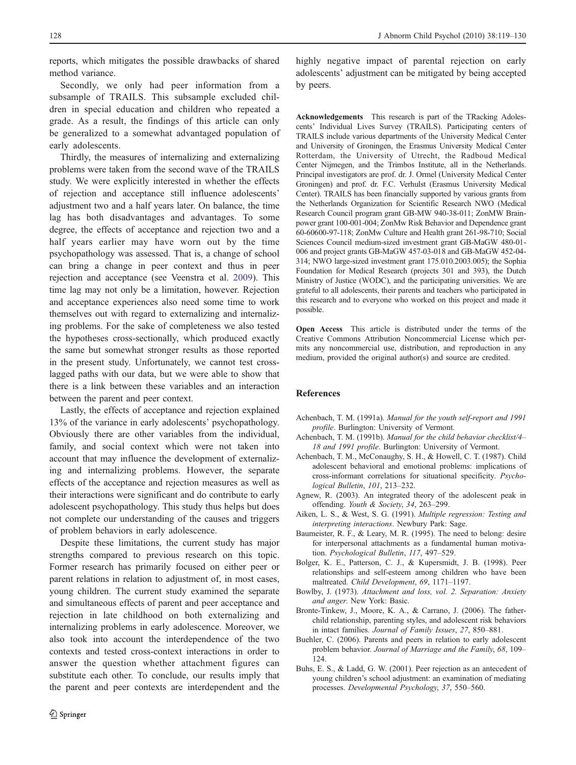<span id="page-9-0"></span>reports, which mitigates the possible drawbacks of shared method variance.

Secondly, we only had peer information from a subsample of TRAILS. This subsample excluded children in special education and children who repeated a grade. As a result, the findings of this article can only be generalized to a somewhat advantaged population of early adolescents.

Thirdly, the measures of internalizing and externalizing problems were taken from the second wave of the TRAILS study. We were explicitly interested in whether the effects of rejection and acceptance still influence adolescents' adjustment two and a half years later. On balance, the time lag has both disadvantages and advantages. To some degree, the effects of acceptance and rejection two and a half years earlier may have worn out by the time psychopathology was assessed. That is, a change of school can bring a change in peer context and thus in peer rejection and acceptance (see Veenstra et al. [2009](#page-11-0)). This time lag may not only be a limitation, however. Rejection and acceptance experiences also need some time to work themselves out with regard to externalizing and internalizing problems. For the sake of completeness we also tested the hypotheses cross-sectionally, which produced exactly the same but somewhat stronger results as those reported in the present study. Unfortunately, we cannot test crosslagged paths with our data, but we were able to show that there is a link between these variables and an interaction between the parent and peer context.

Lastly, the effects of acceptance and rejection explained 13% of the variance in early adolescents' psychopathology. Obviously there are other variables from the individual, family, and social context which were not taken into account that may influence the development of externalizing and internalizing problems. However, the separate effects of the acceptance and rejection measures as well as their interactions were significant and do contribute to early adolescent psychopathology. This study thus helps but does not complete our understanding of the causes and triggers of problem behaviors in early adolescence.

Despite these limitations, the current study has major strengths compared to previous research on this topic. Former research has primarily focused on either peer or parent relations in relation to adjustment of, in most cases, young children. The current study examined the separate and simultaneous effects of parent and peer acceptance and rejection in late childhood on both externalizing and internalizing problems in early adolescence. Moreover, we also took into account the interdependence of the two contexts and tested cross-context interactions in order to answer the question whether attachment figures can substitute each other. To conclude, our results imply that the parent and peer contexts are interdependent and the

highly negative impact of parental rejection on early adolescents' adjustment can be mitigated by being accepted by peers.

Acknowledgements This research is part of the TRacking Adolescents' Individual Lives Survey (TRAILS). Participating centers of TRAILS include various departments of the University Medical Center and University of Groningen, the Erasmus University Medical Center Rotterdam, the University of Utrecht, the Radboud Medical Center Nijmegen, and the Trimbos Institute, all in the Netherlands. Principal investigators are prof. dr. J. Ormel (University Medical Center Groningen) and prof. dr. F.C. Verhulst (Erasmus University Medical Center). TRAILS has been financially supported by various grants from the Netherlands Organization for Scientific Research NWO (Medical Research Council program grant GB-MW 940-38-011; ZonMW Brainpower grant 100-001-004; ZonMw Risk Behavior and Dependence grant 60-60600-97-118; ZonMw Culture and Health grant 261-98-710; Social Sciences Council medium-sized investment grant GB-MaGW 480-01- 006 and project grants GB-MaGW 457-03-018 and GB-MaGW 452-04- 314; NWO large-sized investment grant 175.010.2003.005); the Sophia Foundation for Medical Research (projects 301 and 393), the Dutch Ministry of Justice (WODC), and the participating universities. We are grateful to all adolescents, their parents and teachers who participated in this research and to everyone who worked on this project and made it possible.

Open Access This article is distributed under the terms of the Creative Commons Attribution Noncommercial License which permits any noncommercial use, distribution, and reproduction in any medium, provided the original author(s) and source are credited.

## References

- Achenbach, T. M. (1991a). Manual for the youth self-report and 1991 profile. Burlington: University of Vermont.
- Achenbach, T. M. (1991b). Manual for the child behavior checklist/4*–* 18 and 1991 profile. Burlington: University of Vermont.
- Achenbach, T. M., McConaughy, S. H., & Howell, C. T. (1987). Child adolescent behavioral and emotional problems: implications of cross-informant correlations for situational specificity. Psychological Bulletin, 101, 213–232.
- Agnew, R. (2003). An integrated theory of the adolescent peak in offending. Youth & Society, 34, 263–299.
- Aiken, L. S., & West, S. G. (1991). Multiple regression: Testing and interpreting interactions. Newbury Park: Sage.
- Baumeister, R. F., & Leary, M. R. (1995). The need to belong: desire for interpersonal attachments as a fundamental human motivation. Psychological Bulletin, 117, 497–529.
- Bolger, K. E., Patterson, C. J., & Kupersmidt, J. B. (1998). Peer relationships and self-esteem among children who have been maltreated. Child Development, 69, 1171–1197.
- Bowlby, J. (1973). Attachment and loss, vol. 2. Separation: Anxiety and anger. New York: Basic.
- Bronte-Tinkew, J., Moore, K. A., & Carrano, J. (2006). The fatherchild relationship, parenting styles, and adolescent risk behaviors in intact families. Journal of Family Issues, 27, 850–881.
- Buehler, C. (2006). Parents and peers in relation to early adolescent problem behavior. Journal of Marriage and the Family, 68, 109– 124.
- Buhs, E. S., & Ladd, G. W. (2001). Peer rejection as an antecedent of young children's school adjustment: an examination of mediating processes. Developmental Psychology, 37, 550–560.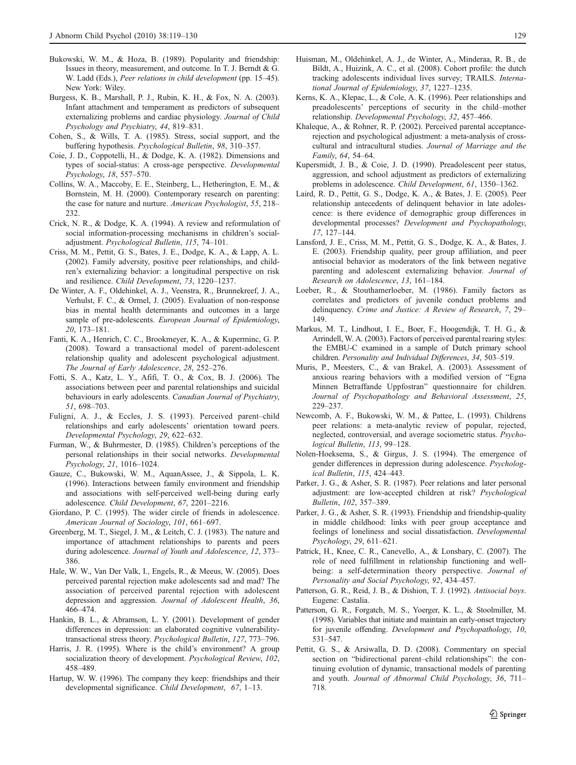- <span id="page-10-0"></span>Bukowski, W. M., & Hoza, B. (1989). Popularity and friendship: Issues in theory, measurement, and outcome. In T. J. Berndt & G. W. Ladd (Eds.), Peer relations in child development (pp. 15–45). New York: Wiley.
- Burgess, K. B., Marshall, P. J., Rubin, K. H., & Fox, N. A. (2003). Infant attachment and temperament as predictors of subsequent externalizing problems and cardiac physiology. Journal of Child Psychology and Psychiatry, 44, 819–831.
- Cohen, S., & Wills, T. A. (1985). Stress, social support, and the buffering hypothesis. Psychological Bulletin, 98, 310–357.
- Coie, J. D., Coppotelli, H., & Dodge, K. A. (1982). Dimensions and types of social-status: A cross-age perspective. Developmental Psychology, 18, 557–570.
- Collins, W. A., Maccoby, E. E., Steinberg, L., Hetherington, E. M., & Bornstein, M. H. (2000). Contemporary research on parenting: the case for nature and nurture. American Psychologist, 55, 218– 232.
- Crick, N. R., & Dodge, K. A. (1994). A review and reformulation of social information-processing mechanisms in children's socialadjustment. Psychological Bulletin, 115, 74–101.
- Criss, M. M., Pettit, G. S., Bates, J. E., Dodge, K. A., & Lapp, A. L. (2002). Family adversity, positive peer relationships, and children's externalizing behavior: a longitudinal perspective on risk and resilience. Child Development, 73, 1220–1237.
- De Winter, A. F., Oldehinkel, A. J., Veenstra, R., Brunnekreef, J. A., Verhulst, F. C., & Ormel, J. (2005). Evaluation of non-response bias in mental health determinants and outcomes in a large sample of pre-adolescents. European Journal of Epidemiology, 20, 173–181.
- Fanti, K. A., Henrich, C. C., Brookmeyer, K. A., & Kuperminc, G. P. (2008). Toward a transactional model of parent-adolescent relationship quality and adolescent psychological adjustment. The Journal of Early Adolescence, 28, 252–276.
- Fotti, S. A., Katz, L. Y., Afifi, T. O., & Cox, B. J. (2006). The associations between peer and parental relationships and suicidal behaviours in early adolescents. Canadian Journal of Psychiatry, 51, 698–703.
- Fuligni, A. J., & Eccles, J. S. (1993). Perceived parent–child relationships and early adolescents' orientation toward peers. Developmental Psychology, 29, 622–632.
- Furman, W., & Buhrmester, D. (1985). Children's perceptions of the personal relationships in their social networks. Developmental Psychology, 21, 1016–1024.
- Gauze, C., Bukowski, W. M., AquanAssee, J., & Sippola, L. K. (1996). Interactions between family environment and friendship and associations with self-perceived well-being during early adolescence. Child Development, 67, 2201–2216.
- Giordano, P. C. (1995). The wider circle of friends in adolescence. American Journal of Sociology, 101, 661–697.
- Greenberg, M. T., Siegel, J. M., & Leitch, C. J. (1983). The nature and importance of attachment relationships to parents and peers during adolescence. Journal of Youth and Adolescence, 12, 373– 386.
- Hale, W. W., Van Der Valk, I., Engels, R., & Meeus, W. (2005). Does perceived parental rejection make adolescents sad and mad? The association of perceived parental rejection with adolescent depression and aggression. Journal of Adolescent Health, 36, 466–474.
- Hankin, B. L., & Abramson, L. Y. (2001). Development of gender differences in depression: an elaborated cognitive vulnerabilitytransactional stress theory. Psychological Bulletin, 127, 773–796.
- Harris, J. R. (1995). Where is the child's environment? A group socialization theory of development. Psychological Review, 102, 458–489.
- Hartup, W. W. (1996). The company they keep: friendships and their developmental significance. Child Development, 67, 1–13.
- Huisman, M., Oldehinkel, A. J., de Winter, A., Minderaa, R. B., de Bildt, A., Huizink, A. C., et al. (2008). Cohort profile: the dutch tracking adolescents individual lives survey; TRAILS. International Journal of Epidemiology, 37, 1227–1235.
- Kerns, K. A., Klepac, L., & Cole, A. K. (1996). Peer relationships and preadolescents' perceptions of security in the child–mother relationship. Developmental Psychology, 32, 457–466.
- Khaleque, A., & Rohner, R. P. (2002). Perceived parental acceptancerejection and psychological adjustment: a meta-analysis of crosscultural and intracultural studies. Journal of Marriage and the Family, 64, 54–64.
- Kupersmidt, J. B., & Coie, J. D. (1990). Preadolescent peer status, aggression, and school adjustment as predictors of externalizing problems in adolescence. Child Development, 61, 1350–1362.
- Laird, R. D., Pettit, G. S., Dodge, K. A., & Bates, J. E. (2005). Peer relationship antecedents of delinquent behavior in late adolescence: is there evidence of demographic group differences in developmental processes? Development and Psychopathology, 17, 127–144.
- Lansford, J. E., Criss, M. M., Pettit, G. S., Dodge, K. A., & Bates, J. E. (2003). Friendship quality, peer group affiliation, and peer antisocial behavior as moderators of the link between negative parenting and adolescent externalizing behavior. Journal of Research on Adolescence, 13, 161–184.
- Loeber, R., & Stouthamerloeber, M. (1986). Family factors as correlates and predictors of juvenile conduct problems and delinquency. Crime and Justice: A Review of Research, 7, 29– 149.
- Markus, M. T., Lindhout, I. E., Boer, F., Hoogendijk, T. H. G., & Arrindell, W. A. (2003). Factors of perceived parental rearing styles: the EMBU-C examined in a sample of Dutch primary school children. Personality and Individual Differences, 34, 503–519.
- Muris, P., Meesters, C., & van Brakel, A. (2003). Assessment of anxious rearing behaviors with a modified version of "Egna Minnen Betraffande Uppfostran" questionnaire for children. Journal of Psychopathology and Behavioral Assessment, 25, 229–237.
- Newcomb, A. F., Bukowski, W. M., & Pattee, L. (1993). Childrens peer relations: a meta-analytic review of popular, rejected, neglected, controversial, and average sociometric status. Psychological Bulletin, 113, 99–128.
- Nolen-Hoeksema, S., & Girgus, J. S. (1994). The emergence of gender differences in depression during adolescence. Psychological Bulletin, 115, 424–443.
- Parker, J. G., & Asher, S. R. (1987). Peer relations and later personal adjustment: are low-accepted children at risk? Psychological Bulletin, 102, 357–389.
- Parker, J. G., & Asher, S. R. (1993). Friendship and friendship-quality in middle childhood: links with peer group acceptance and feelings of loneliness and social dissatisfaction. Developmental Psychology, 29, 611–621.
- Patrick, H., Knee, C. R., Canevello, A., & Lonsbary, C. (2007). The role of need fulfillment in relationship functioning and wellbeing: a self-determination theory perspective. Journal of Personality and Social Psychology, 92, 434–457.
- Patterson, G. R., Reid, J. B., & Dishion, T. J. (1992). Antisocial boys. Eugene: Castalia.
- Patterson, G. R., Forgatch, M. S., Yoerger, K. L., & Stoolmiller, M. (1998). Variables that initiate and maintain an early-onset trajectory for juvenile offending. Development and Psychopathology, 10, 531–547.
- Pettit, G. S., & Arsiwalla, D. D. (2008). Commentary on special section on "bidirectional parent–child relationships": the continuing evolution of dynamic, transactional models of parenting and youth. Journal of Abnormal Child Psychology, 36, 711– 718.